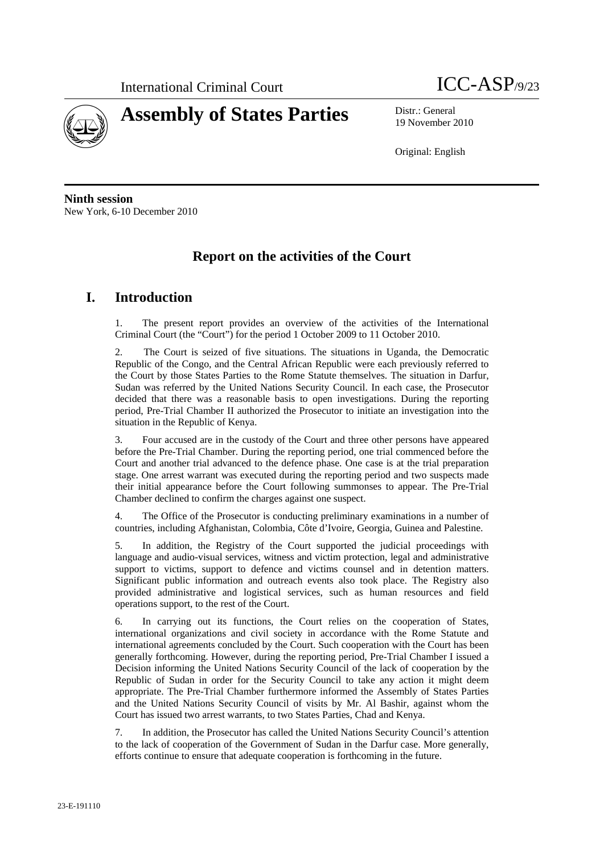



19 November 2010

Original: English

**Ninth session**  New York, 6-10 December 2010

# **Report on the activities of the Court**

# **I. Introduction**

1. The present report provides an overview of the activities of the International Criminal Court (the "Court") for the period 1 October 2009 to 11 October 2010.

2. The Court is seized of five situations. The situations in Uganda, the Democratic Republic of the Congo, and the Central African Republic were each previously referred to the Court by those States Parties to the Rome Statute themselves. The situation in Darfur, Sudan was referred by the United Nations Security Council. In each case, the Prosecutor decided that there was a reasonable basis to open investigations. During the reporting period, Pre-Trial Chamber II authorized the Prosecutor to initiate an investigation into the situation in the Republic of Kenya.

3. Four accused are in the custody of the Court and three other persons have appeared before the Pre-Trial Chamber. During the reporting period, one trial commenced before the Court and another trial advanced to the defence phase. One case is at the trial preparation stage. One arrest warrant was executed during the reporting period and two suspects made their initial appearance before the Court following summonses to appear. The Pre-Trial Chamber declined to confirm the charges against one suspect.

4. The Office of the Prosecutor is conducting preliminary examinations in a number of countries, including Afghanistan, Colombia, Côte d'Ivoire, Georgia, Guinea and Palestine.

5. In addition, the Registry of the Court supported the judicial proceedings with language and audio-visual services, witness and victim protection, legal and administrative support to victims, support to defence and victims counsel and in detention matters. Significant public information and outreach events also took place. The Registry also provided administrative and logistical services, such as human resources and field operations support, to the rest of the Court.

6. In carrying out its functions, the Court relies on the cooperation of States, international organizations and civil society in accordance with the Rome Statute and international agreements concluded by the Court. Such cooperation with the Court has been generally forthcoming. However, during the reporting period, Pre-Trial Chamber I issued a Decision informing the United Nations Security Council of the lack of cooperation by the Republic of Sudan in order for the Security Council to take any action it might deem appropriate. The Pre-Trial Chamber furthermore informed the Assembly of States Parties and the United Nations Security Council of visits by Mr. Al Bashir, against whom the Court has issued two arrest warrants, to two States Parties, Chad and Kenya.

7. In addition, the Prosecutor has called the United Nations Security Council's attention to the lack of cooperation of the Government of Sudan in the Darfur case. More generally, efforts continue to ensure that adequate cooperation is forthcoming in the future.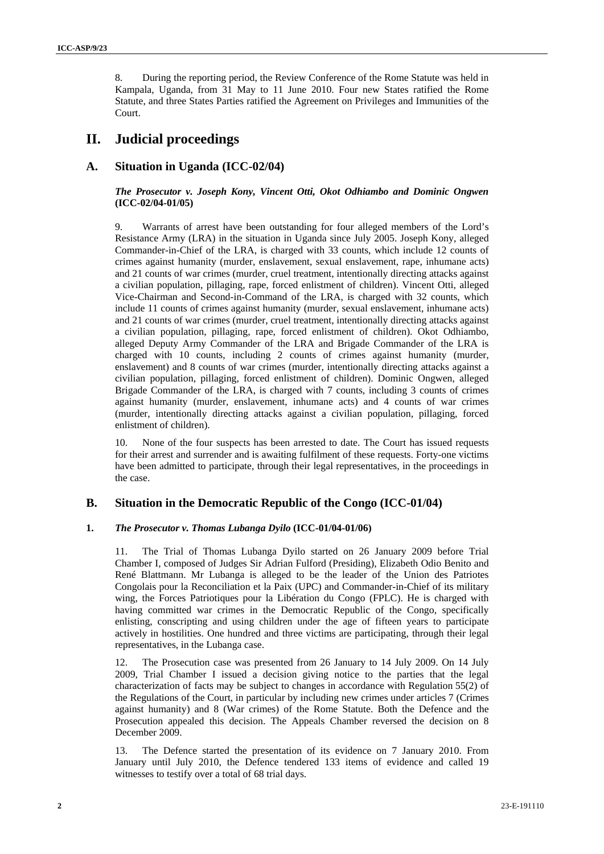8. During the reporting period, the Review Conference of the Rome Statute was held in Kampala, Uganda, from 31 May to 11 June 2010. Four new States ratified the Rome Statute, and three States Parties ratified the Agreement on Privileges and Immunities of the Court.

# **II. Judicial proceedings**

## **A. Situation in Uganda (ICC-02/04)**

#### *The Prosecutor v. Joseph Kony, Vincent Otti, Okot Odhiambo and Dominic Ongwen*  **(ICC-02/04-01/05)**

9. Warrants of arrest have been outstanding for four alleged members of the Lord's Resistance Army (LRA) in the situation in Uganda since July 2005. Joseph Kony, alleged Commander-in-Chief of the LRA, is charged with 33 counts, which include 12 counts of crimes against humanity (murder, enslavement, sexual enslavement, rape, inhumane acts) and 21 counts of war crimes (murder, cruel treatment, intentionally directing attacks against a civilian population, pillaging, rape, forced enlistment of children). Vincent Otti, alleged Vice-Chairman and Second-in-Command of the LRA, is charged with 32 counts, which include 11 counts of crimes against humanity (murder, sexual enslavement, inhumane acts) and 21 counts of war crimes (murder, cruel treatment, intentionally directing attacks against a civilian population, pillaging, rape, forced enlistment of children). Okot Odhiambo, alleged Deputy Army Commander of the LRA and Brigade Commander of the LRA is charged with 10 counts, including 2 counts of crimes against humanity (murder, enslavement) and 8 counts of war crimes (murder, intentionally directing attacks against a civilian population, pillaging, forced enlistment of children). Dominic Ongwen, alleged Brigade Commander of the LRA, is charged with 7 counts, including 3 counts of crimes against humanity (murder, enslavement, inhumane acts) and 4 counts of war crimes (murder, intentionally directing attacks against a civilian population, pillaging, forced enlistment of children).

10. None of the four suspects has been arrested to date. The Court has issued requests for their arrest and surrender and is awaiting fulfilment of these requests. Forty-one victims have been admitted to participate, through their legal representatives, in the proceedings in the case.

## **B. Situation in the Democratic Republic of the Congo (ICC-01/04)**

#### **1.** *The Prosecutor v. Thomas Lubanga Dyilo* **(ICC-01/04-01/06)**

11. The Trial of Thomas Lubanga Dyilo started on 26 January 2009 before Trial Chamber I, composed of Judges Sir Adrian Fulford (Presiding), Elizabeth Odio Benito and René Blattmann. Mr Lubanga is alleged to be the leader of the Union des Patriotes Congolais pour la Reconciliation et la Paix (UPC) and Commander-in-Chief of its military wing, the Forces Patriotiques pour la Libération du Congo (FPLC). He is charged with having committed war crimes in the Democratic Republic of the Congo, specifically enlisting, conscripting and using children under the age of fifteen years to participate actively in hostilities. One hundred and three victims are participating, through their legal representatives, in the Lubanga case.

12. The Prosecution case was presented from 26 January to 14 July 2009. On 14 July 2009, Trial Chamber I issued a decision giving notice to the parties that the legal characterization of facts may be subject to changes in accordance with Regulation 55(2) of the Regulations of the Court, in particular by including new crimes under articles 7 (Crimes against humanity) and 8 (War crimes) of the Rome Statute. Both the Defence and the Prosecution appealed this decision. The Appeals Chamber reversed the decision on 8 December 2009.

13. The Defence started the presentation of its evidence on 7 January 2010. From January until July 2010, the Defence tendered 133 items of evidence and called 19 witnesses to testify over a total of 68 trial days.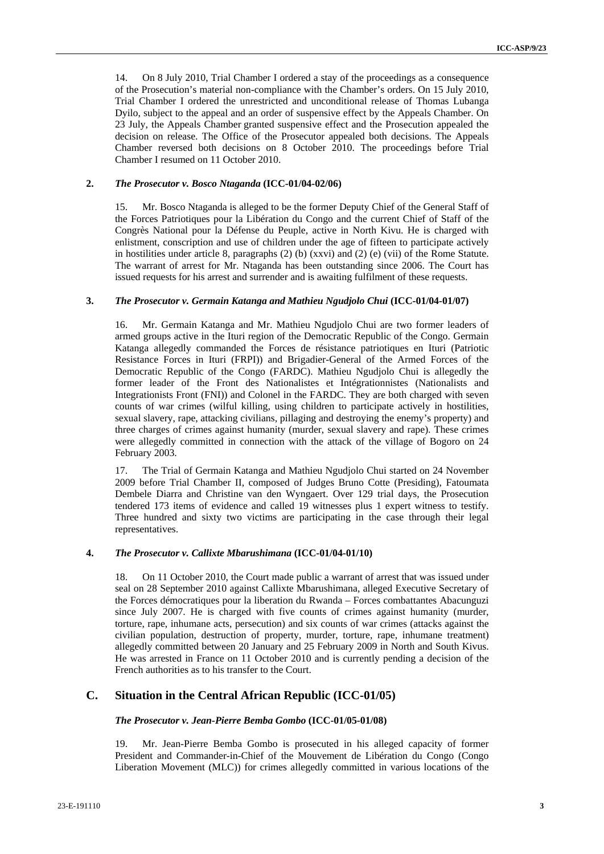14. On 8 July 2010, Trial Chamber I ordered a stay of the proceedings as a consequence of the Prosecution's material non-compliance with the Chamber's orders. On 15 July 2010, Trial Chamber I ordered the unrestricted and unconditional release of Thomas Lubanga Dyilo, subject to the appeal and an order of suspensive effect by the Appeals Chamber. On 23 July, the Appeals Chamber granted suspensive effect and the Prosecution appealed the decision on release. The Office of the Prosecutor appealed both decisions. The Appeals Chamber reversed both decisions on 8 October 2010. The proceedings before Trial Chamber I resumed on 11 October 2010.

### **2.** *The Prosecutor v. Bosco Ntaganda* **(ICC-01/04-02/06)**

15. Mr. Bosco Ntaganda is alleged to be the former Deputy Chief of the General Staff of the Forces Patriotiques pour la Libération du Congo and the current Chief of Staff of the Congrès National pour la Défense du Peuple, active in North Kivu. He is charged with enlistment, conscription and use of children under the age of fifteen to participate actively in hostilities under article 8, paragraphs (2) (b) (xxvi) and (2) (e) (vii) of the Rome Statute. The warrant of arrest for Mr. Ntaganda has been outstanding since 2006. The Court has issued requests for his arrest and surrender and is awaiting fulfilment of these requests.

## **3.** *The Prosecutor v. Germain Katanga and Mathieu Ngudjolo Chui* **(ICC-01/04-01/07)**

16. Mr. Germain Katanga and Mr. Mathieu Ngudjolo Chui are two former leaders of armed groups active in the Ituri region of the Democratic Republic of the Congo. Germain Katanga allegedly commanded the Forces de résistance patriotiques en Ituri (Patriotic Resistance Forces in Ituri (FRPI)) and Brigadier-General of the Armed Forces of the Democratic Republic of the Congo (FARDC). Mathieu Ngudjolo Chui is allegedly the former leader of the Front des Nationalistes et Intégrationnistes (Nationalists and Integrationists Front (FNI)) and Colonel in the FARDC. They are both charged with seven counts of war crimes (wilful killing, using children to participate actively in hostilities, sexual slavery, rape, attacking civilians, pillaging and destroying the enemy's property) and three charges of crimes against humanity (murder, sexual slavery and rape). These crimes were allegedly committed in connection with the attack of the village of Bogoro on 24 February 2003.

17. The Trial of Germain Katanga and Mathieu Ngudjolo Chui started on 24 November 2009 before Trial Chamber II, composed of Judges Bruno Cotte (Presiding), Fatoumata Dembele Diarra and Christine van den Wyngaert. Over 129 trial days, the Prosecution tendered 173 items of evidence and called 19 witnesses plus 1 expert witness to testify. Three hundred and sixty two victims are participating in the case through their legal representatives.

## **4.** *The Prosecutor v. Callixte Mbarushimana* **(ICC-01/04-01/10)**

18. On 11 October 2010, the Court made public a warrant of arrest that was issued under seal on 28 September 2010 against Callixte Mbarushimana, alleged Executive Secretary of the Forces démocratiques pour la liberation du Rwanda – Forces combattantes Abacunguzi since July 2007. He is charged with five counts of crimes against humanity (murder, torture, rape, inhumane acts, persecution) and six counts of war crimes (attacks against the civilian population, destruction of property, murder, torture, rape, inhumane treatment) allegedly committed between 20 January and 25 February 2009 in North and South Kivus. He was arrested in France on 11 October 2010 and is currently pending a decision of the French authorities as to his transfer to the Court.

# **C. Situation in the Central African Republic (ICC-01/05)**

#### *The Prosecutor v. Jean-Pierre Bemba Gombo* **(ICC-01/05-01/08)**

19. Mr. Jean-Pierre Bemba Gombo is prosecuted in his alleged capacity of former President and Commander-in-Chief of the Mouvement de Libération du Congo (Congo Liberation Movement (MLC)) for crimes allegedly committed in various locations of the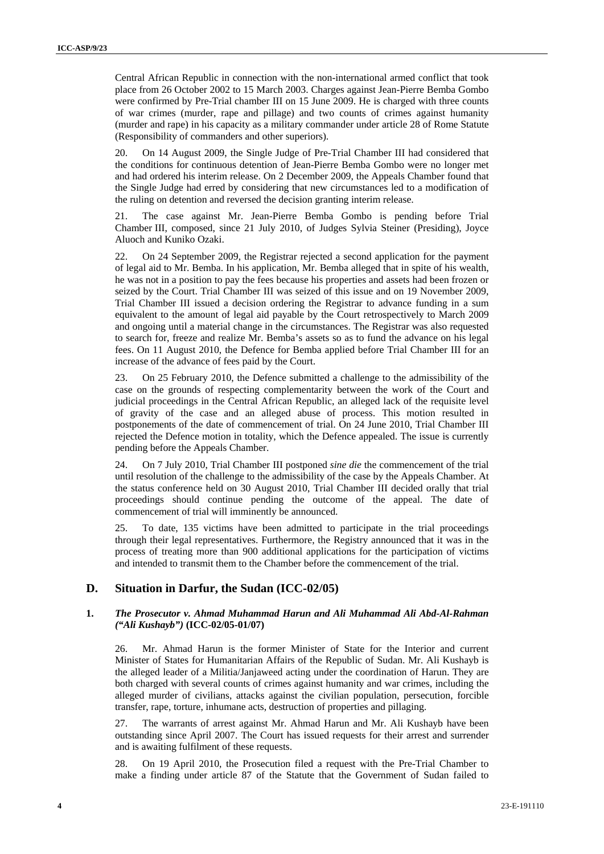Central African Republic in connection with the non-international armed conflict that took place from 26 October 2002 to 15 March 2003. Charges against Jean-Pierre Bemba Gombo were confirmed by Pre-Trial chamber III on 15 June 2009. He is charged with three counts of war crimes (murder, rape and pillage) and two counts of crimes against humanity (murder and rape) in his capacity as a military commander under article 28 of Rome Statute (Responsibility of commanders and other superiors).

20. On 14 August 2009, the Single Judge of Pre-Trial Chamber III had considered that the conditions for continuous detention of Jean-Pierre Bemba Gombo were no longer met and had ordered his interim release. On 2 December 2009, the Appeals Chamber found that the Single Judge had erred by considering that new circumstances led to a modification of the ruling on detention and reversed the decision granting interim release.

21. The case against Mr. Jean-Pierre Bemba Gombo is pending before Trial Chamber III, composed, since 21 July 2010, of Judges Sylvia Steiner (Presiding), Joyce Aluoch and Kuniko Ozaki.

22. On 24 September 2009, the Registrar rejected a second application for the payment of legal aid to Mr. Bemba. In his application, Mr. Bemba alleged that in spite of his wealth, he was not in a position to pay the fees because his properties and assets had been frozen or seized by the Court. Trial Chamber III was seized of this issue and on 19 November 2009, Trial Chamber III issued a decision ordering the Registrar to advance funding in a sum equivalent to the amount of legal aid payable by the Court retrospectively to March 2009 and ongoing until a material change in the circumstances. The Registrar was also requested to search for, freeze and realize Mr. Bemba's assets so as to fund the advance on his legal fees. On 11 August 2010, the Defence for Bemba applied before Trial Chamber III for an increase of the advance of fees paid by the Court.

23. On 25 February 2010, the Defence submitted a challenge to the admissibility of the case on the grounds of respecting complementarity between the work of the Court and judicial proceedings in the Central African Republic, an alleged lack of the requisite level of gravity of the case and an alleged abuse of process. This motion resulted in postponements of the date of commencement of trial. On 24 June 2010, Trial Chamber III rejected the Defence motion in totality, which the Defence appealed. The issue is currently pending before the Appeals Chamber.

24. On 7 July 2010, Trial Chamber III postponed *sine die* the commencement of the trial until resolution of the challenge to the admissibility of the case by the Appeals Chamber. At the status conference held on 30 August 2010, Trial Chamber III decided orally that trial proceedings should continue pending the outcome of the appeal. The date of commencement of trial will imminently be announced.

25. To date, 135 victims have been admitted to participate in the trial proceedings through their legal representatives. Furthermore, the Registry announced that it was in the process of treating more than 900 additional applications for the participation of victims and intended to transmit them to the Chamber before the commencement of the trial.

## **D. Situation in Darfur, the Sudan (ICC-02/05)**

#### **1.** *The Prosecutor v. Ahmad Muhammad Harun and Ali Muhammad Ali Abd-Al-Rahman ("Ali Kushayb")* **(ICC-02/05-01/07)**

26. Mr. Ahmad Harun is the former Minister of State for the Interior and current Minister of States for Humanitarian Affairs of the Republic of Sudan. Mr. Ali Kushayb is the alleged leader of a Militia/Janjaweed acting under the coordination of Harun. They are both charged with several counts of crimes against humanity and war crimes, including the alleged murder of civilians, attacks against the civilian population, persecution, forcible transfer, rape, torture, inhumane acts, destruction of properties and pillaging.

27. The warrants of arrest against Mr. Ahmad Harun and Mr. Ali Kushayb have been outstanding since April 2007. The Court has issued requests for their arrest and surrender and is awaiting fulfilment of these requests.

28. On 19 April 2010, the Prosecution filed a request with the Pre-Trial Chamber to make a finding under article 87 of the Statute that the Government of Sudan failed to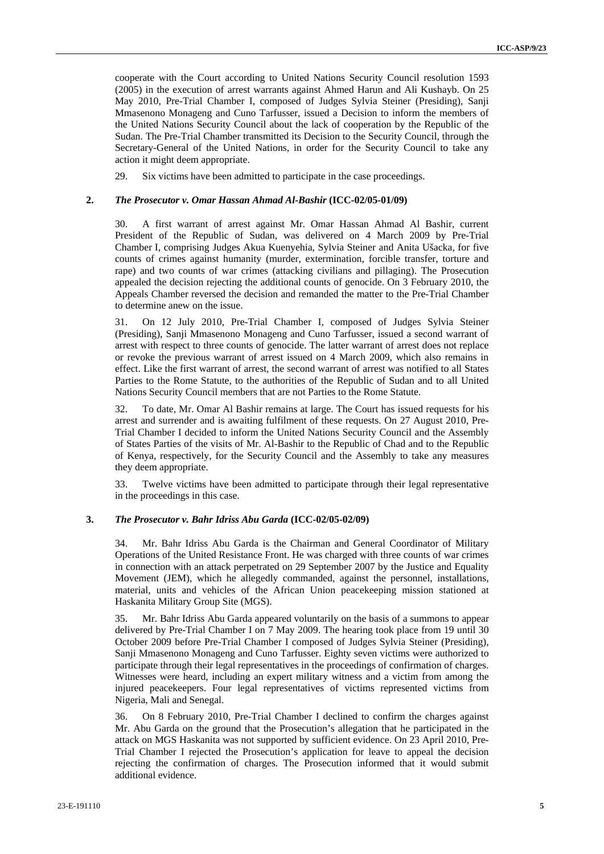cooperate with the Court according to United Nations Security Council resolution 1593 (2005) in the execution of arrest warrants against Ahmed Harun and Ali Kushayb. On 25 May 2010, Pre-Trial Chamber I, composed of Judges Sylvia Steiner (Presiding), Sanji Mmasenono Monageng and Cuno Tarfusser, issued a Decision to inform the members of the United Nations Security Council about the lack of cooperation by the Republic of the Sudan. The Pre-Trial Chamber transmitted its Decision to the Security Council, through the Secretary-General of the United Nations, in order for the Security Council to take any action it might deem appropriate.

29. Six victims have been admitted to participate in the case proceedings.

#### **2.** *The Prosecutor v. Omar Hassan Ahmad Al-Bashir* **(ICC-02/05-01/09)**

30. A first warrant of arrest against Mr. Omar Hassan Ahmad Al Bashir, current President of the Republic of Sudan, was delivered on 4 March 2009 by Pre-Trial Chamber I, comprising Judges Akua Kuenyehia, Sylvia Steiner and Anita Ušacka, for five counts of crimes against humanity (murder, extermination, forcible transfer, torture and rape) and two counts of war crimes (attacking civilians and pillaging). The Prosecution appealed the decision rejecting the additional counts of genocide. On 3 February 2010, the Appeals Chamber reversed the decision and remanded the matter to the Pre-Trial Chamber to determine anew on the issue.

31. On 12 July 2010, Pre-Trial Chamber I, composed of Judges Sylvia Steiner (Presiding), Sanji Mmasenono Monageng and Cuno Tarfusser, issued a second warrant of arrest with respect to three counts of genocide. The latter warrant of arrest does not replace or revoke the previous warrant of arrest issued on 4 March 2009, which also remains in effect. Like the first warrant of arrest, the second warrant of arrest was notified to all States Parties to the Rome Statute, to the authorities of the Republic of Sudan and to all United Nations Security Council members that are not Parties to the Rome Statute.

32. To date, Mr. Omar Al Bashir remains at large. The Court has issued requests for his arrest and surrender and is awaiting fulfilment of these requests. On 27 August 2010, Pre-Trial Chamber I decided to inform the United Nations Security Council and the Assembly of States Parties of the visits of Mr. Al-Bashir to the Republic of Chad and to the Republic of Kenya, respectively, for the Security Council and the Assembly to take any measures they deem appropriate.

33. Twelve victims have been admitted to participate through their legal representative in the proceedings in this case.

#### **3.** *The Prosecutor v. Bahr Idriss Abu Garda* **(ICC-02/05-02/09)**

34. Mr. Bahr Idriss Abu Garda is the Chairman and General Coordinator of Military Operations of the United Resistance Front. He was charged with three counts of war crimes in connection with an attack perpetrated on 29 September 2007 by the Justice and Equality Movement (JEM), which he allegedly commanded, against the personnel, installations, material, units and vehicles of the African Union peacekeeping mission stationed at Haskanita Military Group Site (MGS).

35. Mr. Bahr Idriss Abu Garda appeared voluntarily on the basis of a summons to appear delivered by Pre-Trial Chamber I on 7 May 2009. The hearing took place from 19 until 30 October 2009 before Pre-Trial Chamber I composed of Judges Sylvia Steiner (Presiding), Sanji Mmasenono Monageng and Cuno Tarfusser. Eighty seven victims were authorized to participate through their legal representatives in the proceedings of confirmation of charges. Witnesses were heard, including an expert military witness and a victim from among the injured peacekeepers. Four legal representatives of victims represented victims from Nigeria, Mali and Senegal.

36. On 8 February 2010, Pre-Trial Chamber I declined to confirm the charges against Mr. Abu Garda on the ground that the Prosecution's allegation that he participated in the attack on MGS Haskanita was not supported by sufficient evidence. On 23 April 2010, Pre-Trial Chamber I rejected the Prosecution's application for leave to appeal the decision rejecting the confirmation of charges. The Prosecution informed that it would submit additional evidence.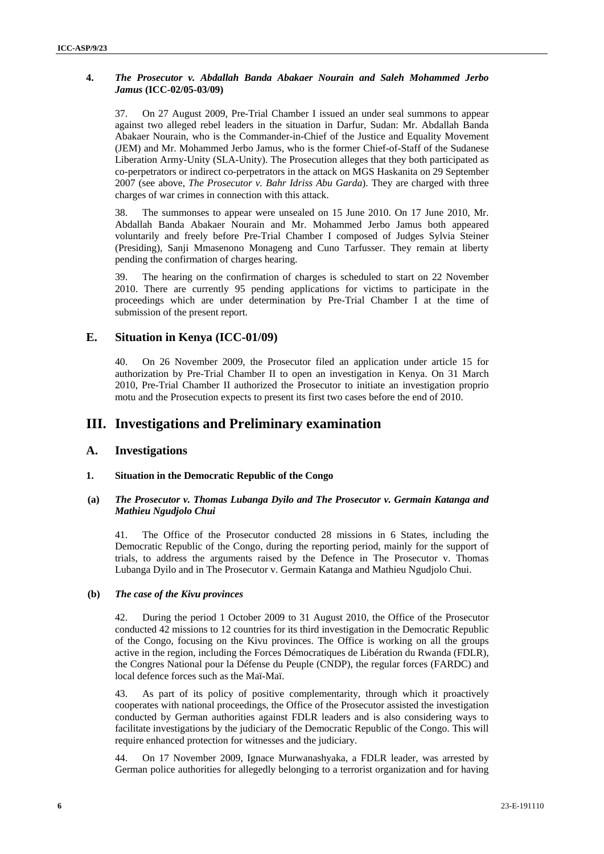### **4.** *The Prosecutor v. Abdallah Banda Abakaer Nourain and Saleh Mohammed Jerbo Jamus* **(ICC-02/05-03/09)**

37. On 27 August 2009, Pre-Trial Chamber I issued an under seal summons to appear against two alleged rebel leaders in the situation in Darfur, Sudan: Mr. Abdallah Banda Abakaer Nourain, who is the Commander-in-Chief of the Justice and Equality Movement (JEM) and Mr. Mohammed Jerbo Jamus, who is the former Chief-of-Staff of the Sudanese Liberation Army-Unity (SLA-Unity). The Prosecution alleges that they both participated as co-perpetrators or indirect co-perpetrators in the attack on MGS Haskanita on 29 September 2007 (see above, *The Prosecutor v. Bahr Idriss Abu Garda*). They are charged with three charges of war crimes in connection with this attack.

38. The summonses to appear were unsealed on 15 June 2010. On 17 June 2010, Mr. Abdallah Banda Abakaer Nourain and Mr. Mohammed Jerbo Jamus both appeared voluntarily and freely before Pre-Trial Chamber I composed of Judges Sylvia Steiner (Presiding), Sanji Mmasenono Monageng and Cuno Tarfusser. They remain at liberty pending the confirmation of charges hearing.

39. The hearing on the confirmation of charges is scheduled to start on 22 November 2010. There are currently 95 pending applications for victims to participate in the proceedings which are under determination by Pre-Trial Chamber I at the time of submission of the present report.

# **E. Situation in Kenya (ICC-01/09)**

40. On 26 November 2009, the Prosecutor filed an application under article 15 for authorization by Pre-Trial Chamber II to open an investigation in Kenya. On 31 March 2010, Pre-Trial Chamber II authorized the Prosecutor to initiate an investigation proprio motu and the Prosecution expects to present its first two cases before the end of 2010.

# **III. Investigations and Preliminary examination**

# **A. Investigations**

**1. Situation in the Democratic Republic of the Congo** 

#### **(a)** *The Prosecutor v. Thomas Lubanga Dyilo and The Prosecutor v. Germain Katanga and Mathieu Ngudjolo Chui*

41. The Office of the Prosecutor conducted 28 missions in 6 States, including the Democratic Republic of the Congo, during the reporting period, mainly for the support of trials, to address the arguments raised by the Defence in The Prosecutor v. Thomas Lubanga Dyilo and in The Prosecutor v. Germain Katanga and Mathieu Ngudjolo Chui.

## **(b)** *The case of the Kivu provinces*

42. During the period 1 October 2009 to 31 August 2010, the Office of the Prosecutor conducted 42 missions to 12 countries for its third investigation in the Democratic Republic of the Congo, focusing on the Kivu provinces. The Office is working on all the groups active in the region, including the Forces Démocratiques de Libération du Rwanda (FDLR), the Congres National pour la Défense du Peuple (CNDP), the regular forces (FARDC) and local defence forces such as the Maï-Maï.

43. As part of its policy of positive complementarity, through which it proactively cooperates with national proceedings, the Office of the Prosecutor assisted the investigation conducted by German authorities against FDLR leaders and is also considering ways to facilitate investigations by the judiciary of the Democratic Republic of the Congo. This will require enhanced protection for witnesses and the judiciary.

44. On 17 November 2009, Ignace Murwanashyaka, a FDLR leader, was arrested by German police authorities for allegedly belonging to a terrorist organization and for having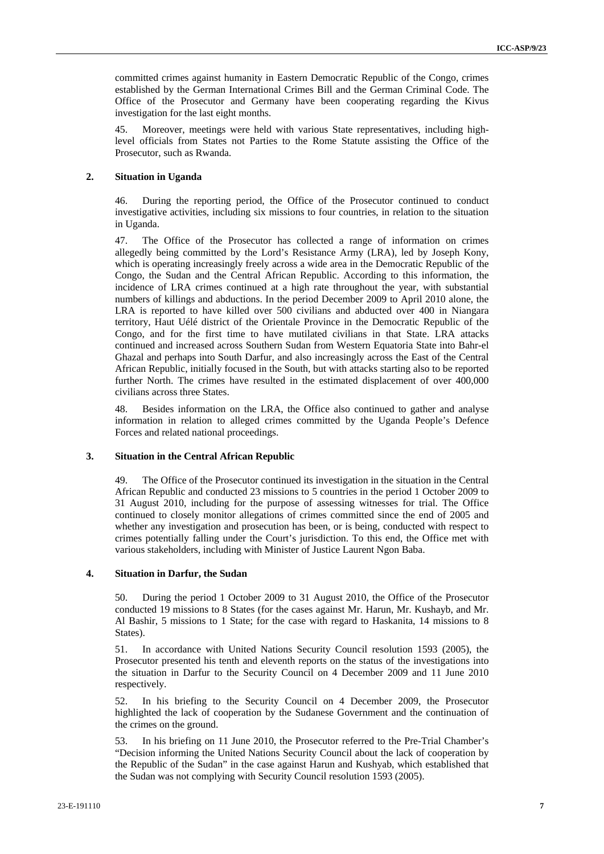committed crimes against humanity in Eastern Democratic Republic of the Congo, crimes established by the German International Crimes Bill and the German Criminal Code. The Office of the Prosecutor and Germany have been cooperating regarding the Kivus investigation for the last eight months.

45. Moreover, meetings were held with various State representatives, including highlevel officials from States not Parties to the Rome Statute assisting the Office of the Prosecutor, such as Rwanda.

#### **2. Situation in Uganda**

46. During the reporting period, the Office of the Prosecutor continued to conduct investigative activities, including six missions to four countries, in relation to the situation in Uganda.

47. The Office of the Prosecutor has collected a range of information on crimes allegedly being committed by the Lord's Resistance Army (LRA), led by Joseph Kony, which is operating increasingly freely across a wide area in the Democratic Republic of the Congo, the Sudan and the Central African Republic. According to this information, the incidence of LRA crimes continued at a high rate throughout the year, with substantial numbers of killings and abductions. In the period December 2009 to April 2010 alone, the LRA is reported to have killed over 500 civilians and abducted over 400 in Niangara territory, Haut Uélé district of the Orientale Province in the Democratic Republic of the Congo, and for the first time to have mutilated civilians in that State. LRA attacks continued and increased across Southern Sudan from Western Equatoria State into Bahr-el Ghazal and perhaps into South Darfur, and also increasingly across the East of the Central African Republic, initially focused in the South, but with attacks starting also to be reported further North. The crimes have resulted in the estimated displacement of over 400,000 civilians across three States.

48. Besides information on the LRA, the Office also continued to gather and analyse information in relation to alleged crimes committed by the Uganda People's Defence Forces and related national proceedings.

#### **3. Situation in the Central African Republic**

49. The Office of the Prosecutor continued its investigation in the situation in the Central African Republic and conducted 23 missions to 5 countries in the period 1 October 2009 to 31 August 2010, including for the purpose of assessing witnesses for trial. The Office continued to closely monitor allegations of crimes committed since the end of 2005 and whether any investigation and prosecution has been, or is being, conducted with respect to crimes potentially falling under the Court's jurisdiction. To this end, the Office met with various stakeholders, including with Minister of Justice Laurent Ngon Baba.

#### **4. Situation in Darfur, the Sudan**

50. During the period 1 October 2009 to 31 August 2010, the Office of the Prosecutor conducted 19 missions to 8 States (for the cases against Mr. Harun, Mr. Kushayb, and Mr. Al Bashir, 5 missions to 1 State; for the case with regard to Haskanita, 14 missions to 8 States).

51. In accordance with United Nations Security Council resolution 1593 (2005), the Prosecutor presented his tenth and eleventh reports on the status of the investigations into the situation in Darfur to the Security Council on 4 December 2009 and 11 June 2010 respectively.

52. In his briefing to the Security Council on 4 December 2009, the Prosecutor highlighted the lack of cooperation by the Sudanese Government and the continuation of the crimes on the ground.

53. In his briefing on 11 June 2010, the Prosecutor referred to the Pre-Trial Chamber's "Decision informing the United Nations Security Council about the lack of cooperation by the Republic of the Sudan" in the case against Harun and Kushyab, which established that the Sudan was not complying with Security Council resolution 1593 (2005).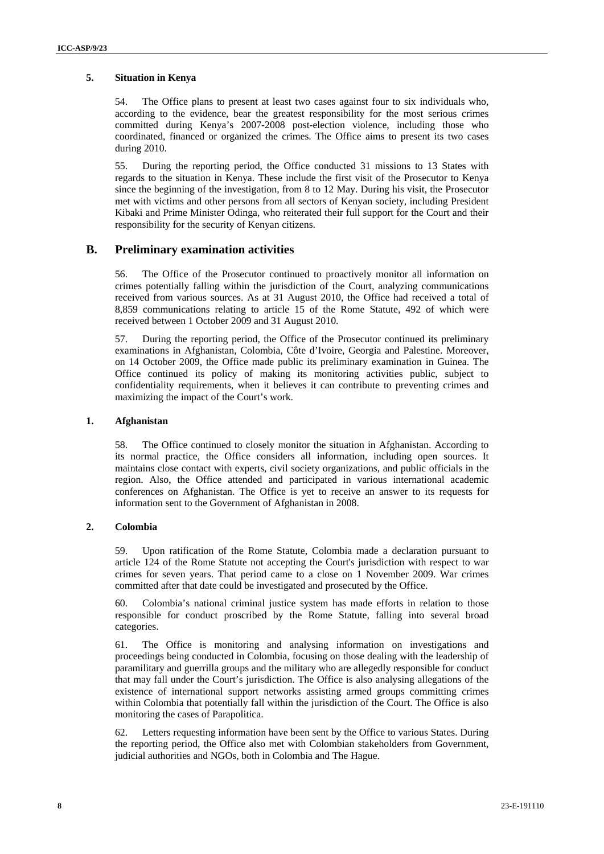### **5. Situation in Kenya**

54. The Office plans to present at least two cases against four to six individuals who, according to the evidence, bear the greatest responsibility for the most serious crimes committed during Kenya's 2007-2008 post-election violence, including those who coordinated, financed or organized the crimes. The Office aims to present its two cases during 2010.

55. During the reporting period, the Office conducted 31 missions to 13 States with regards to the situation in Kenya. These include the first visit of the Prosecutor to Kenya since the beginning of the investigation, from 8 to 12 May. During his visit, the Prosecutor met with victims and other persons from all sectors of Kenyan society, including President Kibaki and Prime Minister Odinga, who reiterated their full support for the Court and their responsibility for the security of Kenyan citizens.

## **B. Preliminary examination activities**

56. The Office of the Prosecutor continued to proactively monitor all information on crimes potentially falling within the jurisdiction of the Court, analyzing communications received from various sources. As at 31 August 2010, the Office had received a total of 8,859 communications relating to article 15 of the Rome Statute, 492 of which were received between 1 October 2009 and 31 August 2010.

57. During the reporting period, the Office of the Prosecutor continued its preliminary examinations in Afghanistan, Colombia, Côte d'Ivoire, Georgia and Palestine. Moreover, on 14 October 2009, the Office made public its preliminary examination in Guinea. The Office continued its policy of making its monitoring activities public, subject to confidentiality requirements, when it believes it can contribute to preventing crimes and maximizing the impact of the Court's work.

#### **1. Afghanistan**

58. The Office continued to closely monitor the situation in Afghanistan. According to its normal practice, the Office considers all information, including open sources. It maintains close contact with experts, civil society organizations, and public officials in the region. Also, the Office attended and participated in various international academic conferences on Afghanistan. The Office is yet to receive an answer to its requests for information sent to the Government of Afghanistan in 2008.

#### **2. Colombia**

59. Upon ratification of the Rome Statute, Colombia made a declaration pursuant to article 124 of the Rome Statute not accepting the Court's jurisdiction with respect to war crimes for seven years. That period came to a close on 1 November 2009. War crimes committed after that date could be investigated and prosecuted by the Office.

60. Colombia's national criminal justice system has made efforts in relation to those responsible for conduct proscribed by the Rome Statute, falling into several broad categories.

61. The Office is monitoring and analysing information on investigations and proceedings being conducted in Colombia, focusing on those dealing with the leadership of paramilitary and guerrilla groups and the military who are allegedly responsible for conduct that may fall under the Court's jurisdiction. The Office is also analysing allegations of the existence of international support networks assisting armed groups committing crimes within Colombia that potentially fall within the jurisdiction of the Court. The Office is also monitoring the cases of Parapolitica.

62. Letters requesting information have been sent by the Office to various States. During the reporting period, the Office also met with Colombian stakeholders from Government, judicial authorities and NGOs, both in Colombia and The Hague.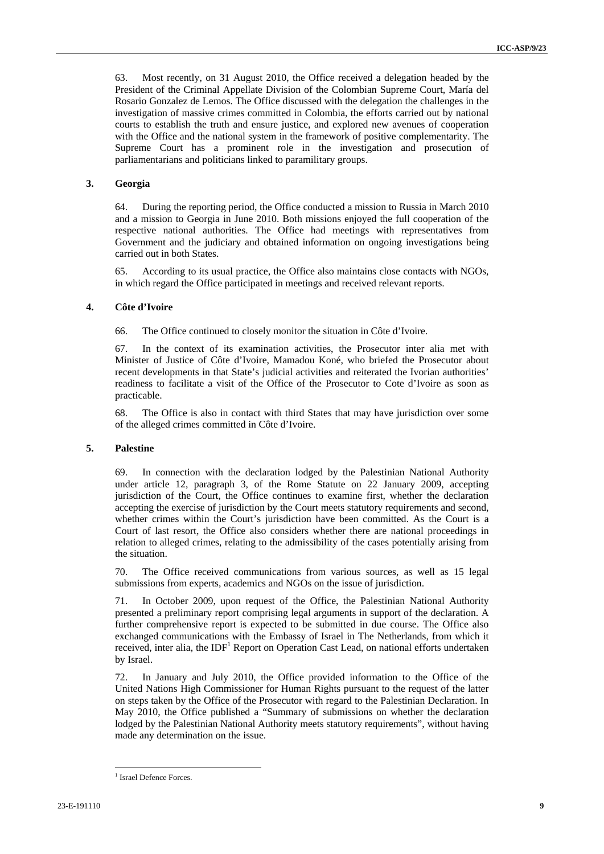63. Most recently, on 31 August 2010, the Office received a delegation headed by the President of the Criminal Appellate Division of the Colombian Supreme Court, María del Rosario Gonzalez de Lemos. The Office discussed with the delegation the challenges in the investigation of massive crimes committed in Colombia, the efforts carried out by national courts to establish the truth and ensure justice, and explored new avenues of cooperation with the Office and the national system in the framework of positive complementarity. The Supreme Court has a prominent role in the investigation and prosecution of parliamentarians and politicians linked to paramilitary groups.

#### **3. Georgia**

64. During the reporting period, the Office conducted a mission to Russia in March 2010 and a mission to Georgia in June 2010. Both missions enjoyed the full cooperation of the respective national authorities. The Office had meetings with representatives from Government and the judiciary and obtained information on ongoing investigations being carried out in both States.

65. According to its usual practice, the Office also maintains close contacts with NGOs, in which regard the Office participated in meetings and received relevant reports.

#### **4. Côte d'Ivoire**

66. The Office continued to closely monitor the situation in Côte d'Ivoire.

67. In the context of its examination activities, the Prosecutor inter alia met with Minister of Justice of Côte d'Ivoire, Mamadou Koné, who briefed the Prosecutor about recent developments in that State's judicial activities and reiterated the Ivorian authorities' readiness to facilitate a visit of the Office of the Prosecutor to Cote d'Ivoire as soon as practicable.

68. The Office is also in contact with third States that may have jurisdiction over some of the alleged crimes committed in Côte d'Ivoire.

#### **5. Palestine**

69. In connection with the declaration lodged by the Palestinian National Authority under article 12, paragraph 3, of the Rome Statute on 22 January 2009, accepting jurisdiction of the Court, the Office continues to examine first, whether the declaration accepting the exercise of jurisdiction by the Court meets statutory requirements and second, whether crimes within the Court's jurisdiction have been committed. As the Court is a Court of last resort, the Office also considers whether there are national proceedings in relation to alleged crimes, relating to the admissibility of the cases potentially arising from the situation.

70. The Office received communications from various sources, as well as 15 legal submissions from experts, academics and NGOs on the issue of jurisdiction.

71. In October 2009, upon request of the Office, the Palestinian National Authority presented a preliminary report comprising legal arguments in support of the declaration. A further comprehensive report is expected to be submitted in due course. The Office also exchanged communications with the Embassy of Israel in The Netherlands, from which it received, inter alia, the IDF<sup>1</sup> Report on Operation Cast Lead, on national efforts undertaken by Israel.

72. In January and July 2010, the Office provided information to the Office of the United Nations High Commissioner for Human Rights pursuant to the request of the latter on steps taken by the Office of the Prosecutor with regard to the Palestinian Declaration. In May 2010, the Office published a "Summary of submissions on whether the declaration lodged by the Palestinian National Authority meets statutory requirements", without having made any determination on the issue.

<u> 1989 - Johann Barn, mars eta bainar eta industrial eta bainar eta baina eta baina eta baina eta baina eta ba</u>

<sup>&</sup>lt;sup>1</sup> Israel Defence Forces.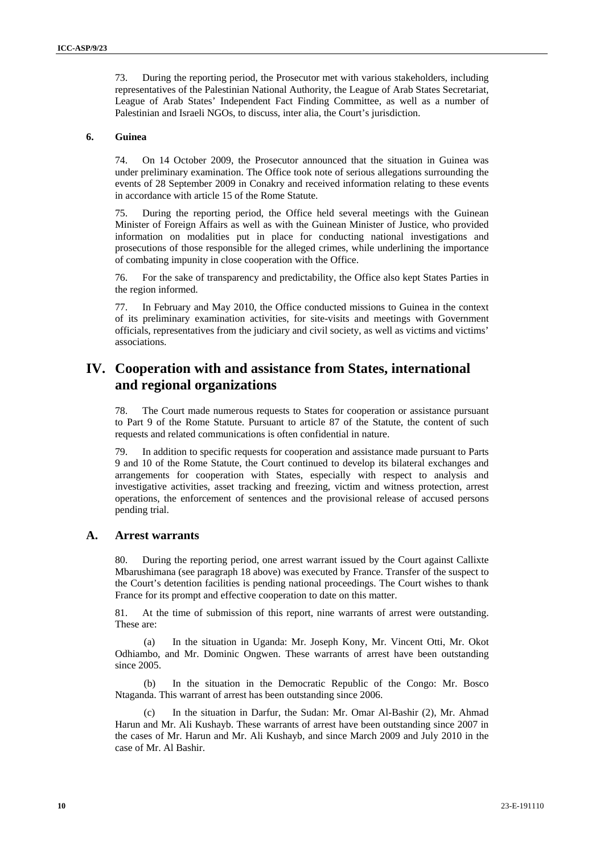73. During the reporting period, the Prosecutor met with various stakeholders, including representatives of the Palestinian National Authority, the League of Arab States Secretariat, League of Arab States' Independent Fact Finding Committee, as well as a number of Palestinian and Israeli NGOs, to discuss, inter alia, the Court's jurisdiction.

#### **6. Guinea**

74. On 14 October 2009, the Prosecutor announced that the situation in Guinea was under preliminary examination. The Office took note of serious allegations surrounding the events of 28 September 2009 in Conakry and received information relating to these events in accordance with article 15 of the Rome Statute.

75. During the reporting period, the Office held several meetings with the Guinean Minister of Foreign Affairs as well as with the Guinean Minister of Justice, who provided information on modalities put in place for conducting national investigations and prosecutions of those responsible for the alleged crimes, while underlining the importance of combating impunity in close cooperation with the Office.

76. For the sake of transparency and predictability, the Office also kept States Parties in the region informed.

77. In February and May 2010, the Office conducted missions to Guinea in the context of its preliminary examination activities, for site-visits and meetings with Government officials, representatives from the judiciary and civil society, as well as victims and victims' associations.

# **IV. Cooperation with and assistance from States, international and regional organizations**

78. The Court made numerous requests to States for cooperation or assistance pursuant to Part 9 of the Rome Statute. Pursuant to article 87 of the Statute, the content of such requests and related communications is often confidential in nature.

79. In addition to specific requests for cooperation and assistance made pursuant to Parts 9 and 10 of the Rome Statute, the Court continued to develop its bilateral exchanges and arrangements for cooperation with States, especially with respect to analysis and investigative activities, asset tracking and freezing, victim and witness protection, arrest operations, the enforcement of sentences and the provisional release of accused persons pending trial.

## **A. Arrest warrants**

80. During the reporting period, one arrest warrant issued by the Court against Callixte Mbarushimana (see paragraph 18 above) was executed by France. Transfer of the suspect to the Court's detention facilities is pending national proceedings. The Court wishes to thank France for its prompt and effective cooperation to date on this matter.

81. At the time of submission of this report, nine warrants of arrest were outstanding. These are:

(a) In the situation in Uganda: Mr. Joseph Kony, Mr. Vincent Otti, Mr. Okot Odhiambo, and Mr. Dominic Ongwen. These warrants of arrest have been outstanding since 2005.

(b) In the situation in the Democratic Republic of the Congo: Mr. Bosco Ntaganda. This warrant of arrest has been outstanding since 2006.

(c) In the situation in Darfur, the Sudan: Mr. Omar Al-Bashir (2), Mr. Ahmad Harun and Mr. Ali Kushayb. These warrants of arrest have been outstanding since 2007 in the cases of Mr. Harun and Mr. Ali Kushayb, and since March 2009 and July 2010 in the case of Mr. Al Bashir.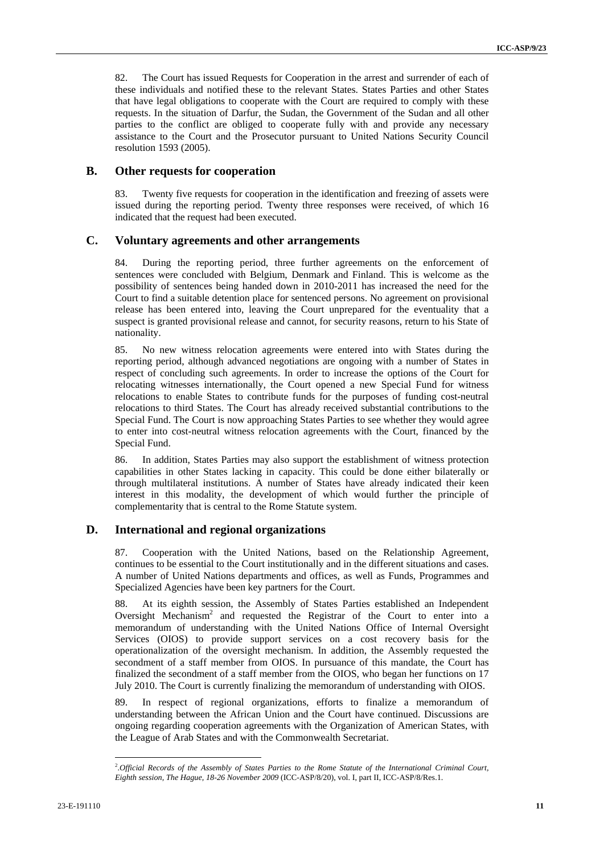82. The Court has issued Requests for Cooperation in the arrest and surrender of each of these individuals and notified these to the relevant States. States Parties and other States that have legal obligations to cooperate with the Court are required to comply with these requests. In the situation of Darfur, the Sudan, the Government of the Sudan and all other parties to the conflict are obliged to cooperate fully with and provide any necessary assistance to the Court and the Prosecutor pursuant to United Nations Security Council resolution 1593 (2005).

## **B. Other requests for cooperation**

83. Twenty five requests for cooperation in the identification and freezing of assets were issued during the reporting period. Twenty three responses were received, of which 16 indicated that the request had been executed.

## **C. Voluntary agreements and other arrangements**

84. During the reporting period, three further agreements on the enforcement of sentences were concluded with Belgium, Denmark and Finland. This is welcome as the possibility of sentences being handed down in 2010-2011 has increased the need for the Court to find a suitable detention place for sentenced persons. No agreement on provisional release has been entered into, leaving the Court unprepared for the eventuality that a suspect is granted provisional release and cannot, for security reasons, return to his State of nationality.

85. No new witness relocation agreements were entered into with States during the reporting period, although advanced negotiations are ongoing with a number of States in respect of concluding such agreements. In order to increase the options of the Court for relocating witnesses internationally, the Court opened a new Special Fund for witness relocations to enable States to contribute funds for the purposes of funding cost-neutral relocations to third States. The Court has already received substantial contributions to the Special Fund. The Court is now approaching States Parties to see whether they would agree to enter into cost-neutral witness relocation agreements with the Court, financed by the Special Fund.

86. In addition, States Parties may also support the establishment of witness protection capabilities in other States lacking in capacity. This could be done either bilaterally or through multilateral institutions. A number of States have already indicated their keen interest in this modality, the development of which would further the principle of complementarity that is central to the Rome Statute system.

### **D. International and regional organizations**

<u> 1989 - Johann Barn, mars eta bainar eta industrial eta bainar eta baina eta baina eta baina eta baina eta ba</u>

87. Cooperation with the United Nations, based on the Relationship Agreement, continues to be essential to the Court institutionally and in the different situations and cases. A number of United Nations departments and offices, as well as Funds, Programmes and Specialized Agencies have been key partners for the Court.

88. At its eighth session, the Assembly of States Parties established an Independent Oversight Mechanism<sup>2</sup> and requested the Registrar of the Court to enter into a memorandum of understanding with the United Nations Office of Internal Oversight Services (OIOS) to provide support services on a cost recovery basis for the operationalization of the oversight mechanism. In addition, the Assembly requested the secondment of a staff member from OIOS. In pursuance of this mandate, the Court has finalized the secondment of a staff member from the OIOS, who began her functions on 17 July 2010. The Court is currently finalizing the memorandum of understanding with OIOS.

89. In respect of regional organizations, efforts to finalize a memorandum of understanding between the African Union and the Court have continued. Discussions are ongoing regarding cooperation agreements with the Organization of American States, with the League of Arab States and with the Commonwealth Secretariat.

<sup>2</sup> .*Official Records of the Assembly of States Parties to the Rome Statute of the International Criminal Court, Eighth session, The Hague, 18-26 November 2009* (ICC-ASP/8/20), vol. I, part II, ICC-ASP/8/Res.1.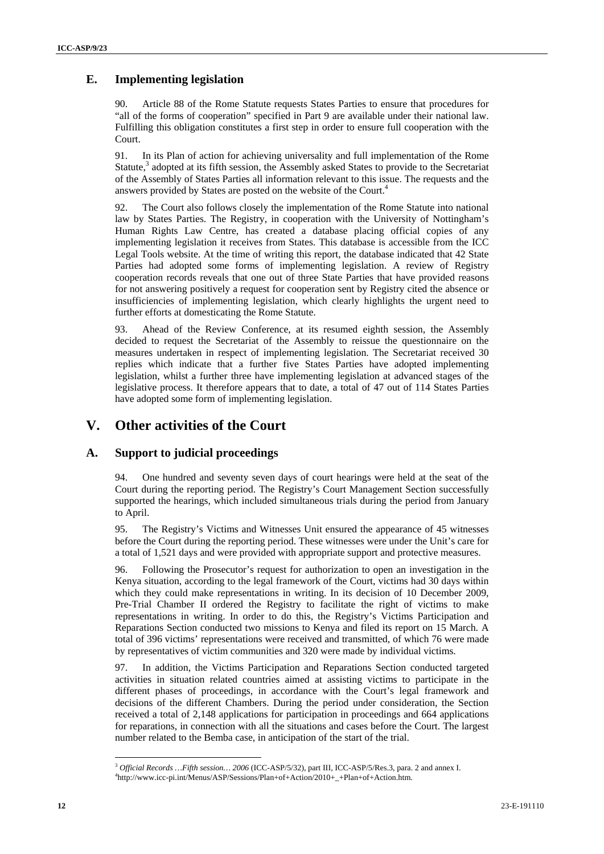# **E. Implementing legislation**

90. Article 88 of the Rome Statute requests States Parties to ensure that procedures for "all of the forms of cooperation" specified in Part 9 are available under their national law. Fulfilling this obligation constitutes a first step in order to ensure full cooperation with the Court.

91. In its Plan of action for achieving universality and full implementation of the Rome Statute,<sup>3</sup> adopted at its fifth session, the Assembly asked States to provide to the Secretariat of the Assembly of States Parties all information relevant to this issue. The requests and the answers provided by States are posted on the website of the Court.<sup>4</sup>

92. The Court also follows closely the implementation of the Rome Statute into national law by States Parties. The Registry, in cooperation with the University of Nottingham's Human Rights Law Centre, has created a database placing official copies of any implementing legislation it receives from States. This database is accessible from the ICC Legal Tools website. At the time of writing this report, the database indicated that 42 State Parties had adopted some forms of implementing legislation. A review of Registry cooperation records reveals that one out of three State Parties that have provided reasons for not answering positively a request for cooperation sent by Registry cited the absence or insufficiencies of implementing legislation, which clearly highlights the urgent need to further efforts at domesticating the Rome Statute.

93. Ahead of the Review Conference, at its resumed eighth session, the Assembly decided to request the Secretariat of the Assembly to reissue the questionnaire on the measures undertaken in respect of implementing legislation. The Secretariat received 30 replies which indicate that a further five States Parties have adopted implementing legislation, whilst a further three have implementing legislation at advanced stages of the legislative process. It therefore appears that to date, a total of 47 out of 114 States Parties have adopted some form of implementing legislation.

# **V. Other activities of the Court**

# **A. Support to judicial proceedings**

<u> 1989 - Johann Barn, mars eta bainar eta industrial eta bainar eta baina eta baina eta baina eta baina eta ba</u>

94. One hundred and seventy seven days of court hearings were held at the seat of the Court during the reporting period. The Registry's Court Management Section successfully supported the hearings, which included simultaneous trials during the period from January to April.

95. The Registry's Victims and Witnesses Unit ensured the appearance of 45 witnesses before the Court during the reporting period. These witnesses were under the Unit's care for a total of 1,521 days and were provided with appropriate support and protective measures.

96. Following the Prosecutor's request for authorization to open an investigation in the Kenya situation, according to the legal framework of the Court, victims had 30 days within which they could make representations in writing. In its decision of 10 December 2009, Pre-Trial Chamber II ordered the Registry to facilitate the right of victims to make representations in writing. In order to do this, the Registry's Victims Participation and Reparations Section conducted two missions to Kenya and filed its report on 15 March. A total of 396 victims' representations were received and transmitted, of which 76 were made by representatives of victim communities and 320 were made by individual victims.

97. In addition, the Victims Participation and Reparations Section conducted targeted activities in situation related countries aimed at assisting victims to participate in the different phases of proceedings, in accordance with the Court's legal framework and decisions of the different Chambers. During the period under consideration, the Section received a total of 2,148 applications for participation in proceedings and 664 applications for reparations, in connection with all the situations and cases before the Court. The largest number related to the Bemba case, in anticipation of the start of the trial.

<sup>&</sup>lt;sup>3</sup> Official Records …Fifth session… 2006 (ICC-ASP/5/32), part III, ICC-ASP/5/Res.3, para. 2 and annex I. http://www.icc-pi.int/Menus/ASP/Sessions/Plan+of+Action/2010+\_+Plan+of+Action.htm.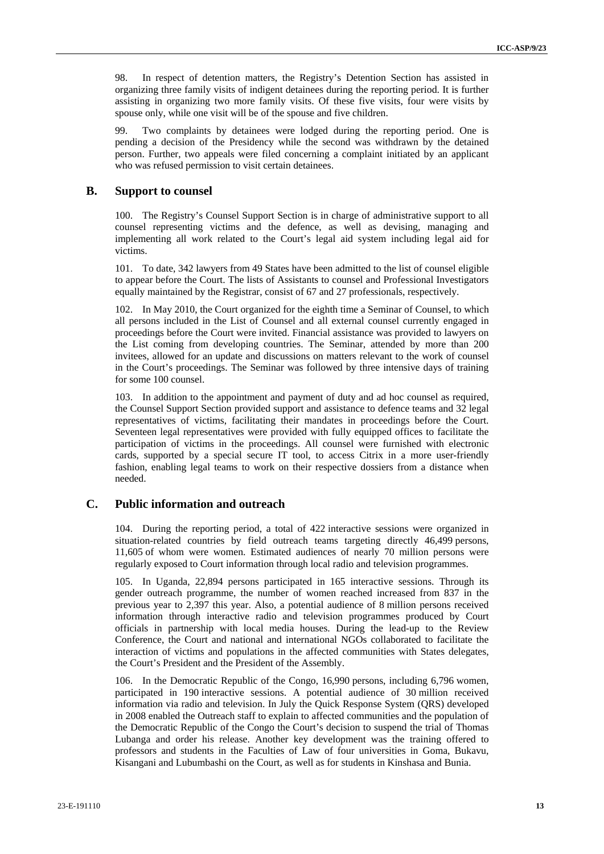98. In respect of detention matters, the Registry's Detention Section has assisted in organizing three family visits of indigent detainees during the reporting period. It is further assisting in organizing two more family visits. Of these five visits, four were visits by spouse only, while one visit will be of the spouse and five children.

99. Two complaints by detainees were lodged during the reporting period. One is pending a decision of the Presidency while the second was withdrawn by the detained person. Further, two appeals were filed concerning a complaint initiated by an applicant who was refused permission to visit certain detainees.

## **B. Support to counsel**

100. The Registry's Counsel Support Section is in charge of administrative support to all counsel representing victims and the defence, as well as devising, managing and implementing all work related to the Court's legal aid system including legal aid for victims.

101. To date, 342 lawyers from 49 States have been admitted to the list of counsel eligible to appear before the Court. The lists of Assistants to counsel and Professional Investigators equally maintained by the Registrar, consist of 67 and 27 professionals, respectively.

102. In May 2010, the Court organized for the eighth time a Seminar of Counsel, to which all persons included in the List of Counsel and all external counsel currently engaged in proceedings before the Court were invited. Financial assistance was provided to lawyers on the List coming from developing countries. The Seminar, attended by more than 200 invitees, allowed for an update and discussions on matters relevant to the work of counsel in the Court's proceedings. The Seminar was followed by three intensive days of training for some 100 counsel.

103. In addition to the appointment and payment of duty and ad hoc counsel as required, the Counsel Support Section provided support and assistance to defence teams and 32 legal representatives of victims, facilitating their mandates in proceedings before the Court. Seventeen legal representatives were provided with fully equipped offices to facilitate the participation of victims in the proceedings. All counsel were furnished with electronic cards, supported by a special secure IT tool, to access Citrix in a more user-friendly fashion, enabling legal teams to work on their respective dossiers from a distance when needed.

# **C. Public information and outreach**

104. During the reporting period, a total of 422 interactive sessions were organized in situation-related countries by field outreach teams targeting directly 46,499 persons, 11,605 of whom were women. Estimated audiences of nearly 70 million persons were regularly exposed to Court information through local radio and television programmes.

105. In Uganda, 22,894 persons participated in 165 interactive sessions. Through its gender outreach programme, the number of women reached increased from 837 in the previous year to 2,397 this year. Also, a potential audience of 8 million persons received information through interactive radio and television programmes produced by Court officials in partnership with local media houses. During the lead-up to the Review Conference, the Court and national and international NGOs collaborated to facilitate the interaction of victims and populations in the affected communities with States delegates, the Court's President and the President of the Assembly.

106. In the Democratic Republic of the Congo, 16,990 persons, including 6,796 women, participated in 190 interactive sessions. A potential audience of 30 million received information via radio and television. In July the Quick Response System (QRS) developed in 2008 enabled the Outreach staff to explain to affected communities and the population of the Democratic Republic of the Congo the Court's decision to suspend the trial of Thomas Lubanga and order his release. Another key development was the training offered to professors and students in the Faculties of Law of four universities in Goma, Bukavu, Kisangani and Lubumbashi on the Court, as well as for students in Kinshasa and Bunia.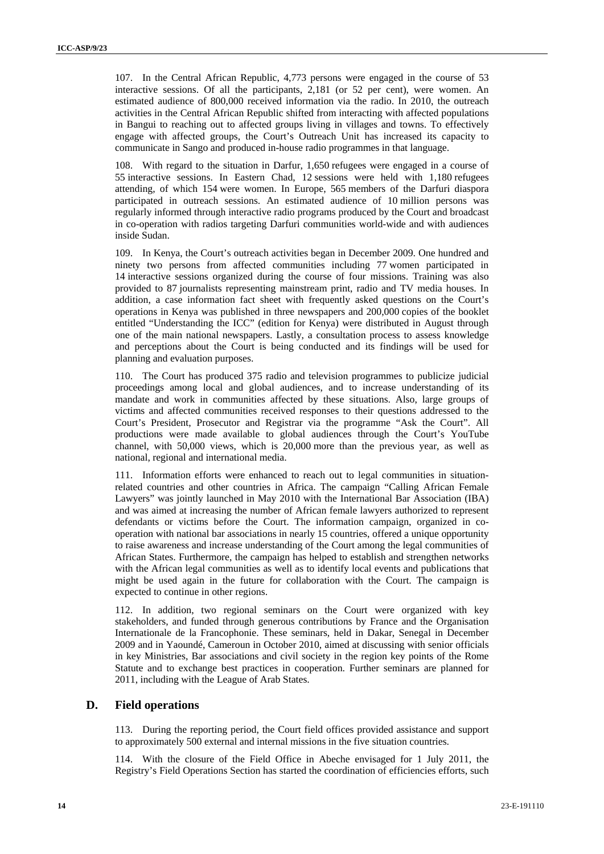107. In the Central African Republic, 4,773 persons were engaged in the course of 53 interactive sessions. Of all the participants, 2,181 (or 52 per cent), were women. An estimated audience of 800,000 received information via the radio. In 2010, the outreach activities in the Central African Republic shifted from interacting with affected populations in Bangui to reaching out to affected groups living in villages and towns. To effectively engage with affected groups, the Court's Outreach Unit has increased its capacity to communicate in Sango and produced in-house radio programmes in that language.

108. With regard to the situation in Darfur, 1,650 refugees were engaged in a course of 55 interactive sessions. In Eastern Chad, 12 sessions were held with 1,180 refugees attending, of which 154 were women. In Europe, 565 members of the Darfuri diaspora participated in outreach sessions. An estimated audience of 10 million persons was regularly informed through interactive radio programs produced by the Court and broadcast in co-operation with radios targeting Darfuri communities world-wide and with audiences inside Sudan.

109. In Kenya, the Court's outreach activities began in December 2009. One hundred and ninety two persons from affected communities including 77 women participated in 14 interactive sessions organized during the course of four missions. Training was also provided to 87 journalists representing mainstream print, radio and TV media houses. In addition, a case information fact sheet with frequently asked questions on the Court's operations in Kenya was published in three newspapers and 200,000 copies of the booklet entitled "Understanding the ICC" (edition for Kenya) were distributed in August through one of the main national newspapers. Lastly, a consultation process to assess knowledge and perceptions about the Court is being conducted and its findings will be used for planning and evaluation purposes.

110. The Court has produced 375 radio and television programmes to publicize judicial proceedings among local and global audiences, and to increase understanding of its mandate and work in communities affected by these situations. Also, large groups of victims and affected communities received responses to their questions addressed to the Court's President, Prosecutor and Registrar via the programme "Ask the Court". All productions were made available to global audiences through the Court's YouTube channel, with 50,000 views, which is 20,000 more than the previous year, as well as national, regional and international media.

111. Information efforts were enhanced to reach out to legal communities in situationrelated countries and other countries in Africa. The campaign "Calling African Female Lawyers" was jointly launched in May 2010 with the International Bar Association (IBA) and was aimed at increasing the number of African female lawyers authorized to represent defendants or victims before the Court. The information campaign, organized in cooperation with national bar associations in nearly 15 countries, offered a unique opportunity to raise awareness and increase understanding of the Court among the legal communities of African States. Furthermore, the campaign has helped to establish and strengthen networks with the African legal communities as well as to identify local events and publications that might be used again in the future for collaboration with the Court. The campaign is expected to continue in other regions.

112. In addition, two regional seminars on the Court were organized with key stakeholders, and funded through generous contributions by France and the Organisation Internationale de la Francophonie. These seminars, held in Dakar, Senegal in December 2009 and in Yaoundé, Cameroun in October 2010, aimed at discussing with senior officials in key Ministries, Bar associations and civil society in the region key points of the Rome Statute and to exchange best practices in cooperation. Further seminars are planned for 2011, including with the League of Arab States.

## **D. Field operations**

113. During the reporting period, the Court field offices provided assistance and support to approximately 500 external and internal missions in the five situation countries.

114. With the closure of the Field Office in Abeche envisaged for 1 July 2011, the Registry's Field Operations Section has started the coordination of efficiencies efforts, such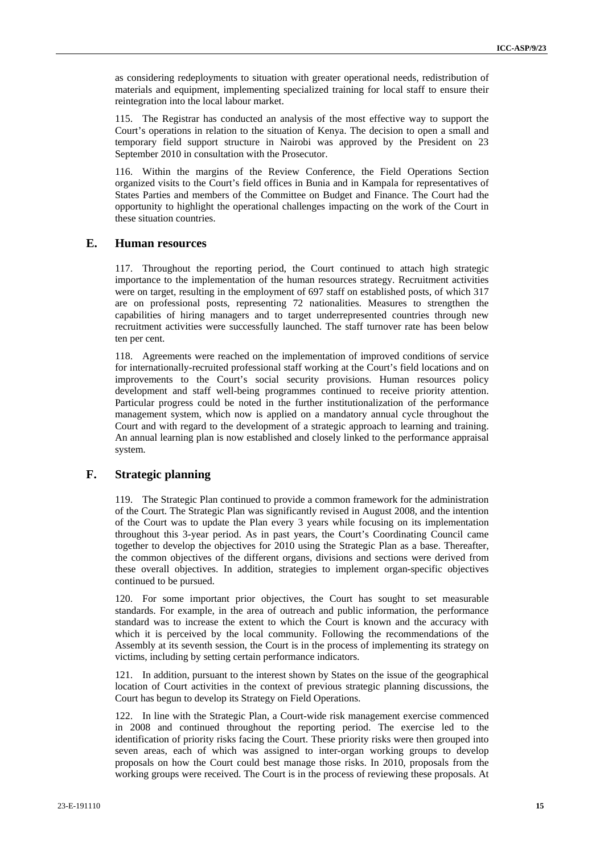as considering redeployments to situation with greater operational needs, redistribution of materials and equipment, implementing specialized training for local staff to ensure their reintegration into the local labour market.

115. The Registrar has conducted an analysis of the most effective way to support the Court's operations in relation to the situation of Kenya. The decision to open a small and temporary field support structure in Nairobi was approved by the President on 23 September 2010 in consultation with the Prosecutor.

116. Within the margins of the Review Conference, the Field Operations Section organized visits to the Court's field offices in Bunia and in Kampala for representatives of States Parties and members of the Committee on Budget and Finance. The Court had the opportunity to highlight the operational challenges impacting on the work of the Court in these situation countries.

## **E. Human resources**

117. Throughout the reporting period, the Court continued to attach high strategic importance to the implementation of the human resources strategy. Recruitment activities were on target, resulting in the employment of 697 staff on established posts, of which 317 are on professional posts, representing 72 nationalities. Measures to strengthen the capabilities of hiring managers and to target underrepresented countries through new recruitment activities were successfully launched. The staff turnover rate has been below ten per cent.

118. Agreements were reached on the implementation of improved conditions of service for internationally-recruited professional staff working at the Court's field locations and on improvements to the Court's social security provisions. Human resources policy development and staff well-being programmes continued to receive priority attention. Particular progress could be noted in the further institutionalization of the performance management system, which now is applied on a mandatory annual cycle throughout the Court and with regard to the development of a strategic approach to learning and training. An annual learning plan is now established and closely linked to the performance appraisal system.

## **F. Strategic planning**

119. The Strategic Plan continued to provide a common framework for the administration of the Court. The Strategic Plan was significantly revised in August 2008, and the intention of the Court was to update the Plan every 3 years while focusing on its implementation throughout this 3-year period. As in past years, the Court's Coordinating Council came together to develop the objectives for 2010 using the Strategic Plan as a base. Thereafter, the common objectives of the different organs, divisions and sections were derived from these overall objectives. In addition, strategies to implement organ-specific objectives continued to be pursued.

120. For some important prior objectives, the Court has sought to set measurable standards. For example, in the area of outreach and public information, the performance standard was to increase the extent to which the Court is known and the accuracy with which it is perceived by the local community. Following the recommendations of the Assembly at its seventh session, the Court is in the process of implementing its strategy on victims, including by setting certain performance indicators.

121. In addition, pursuant to the interest shown by States on the issue of the geographical location of Court activities in the context of previous strategic planning discussions, the Court has begun to develop its Strategy on Field Operations.

122. In line with the Strategic Plan, a Court-wide risk management exercise commenced in 2008 and continued throughout the reporting period. The exercise led to the identification of priority risks facing the Court. These priority risks were then grouped into seven areas, each of which was assigned to inter-organ working groups to develop proposals on how the Court could best manage those risks. In 2010, proposals from the working groups were received. The Court is in the process of reviewing these proposals. At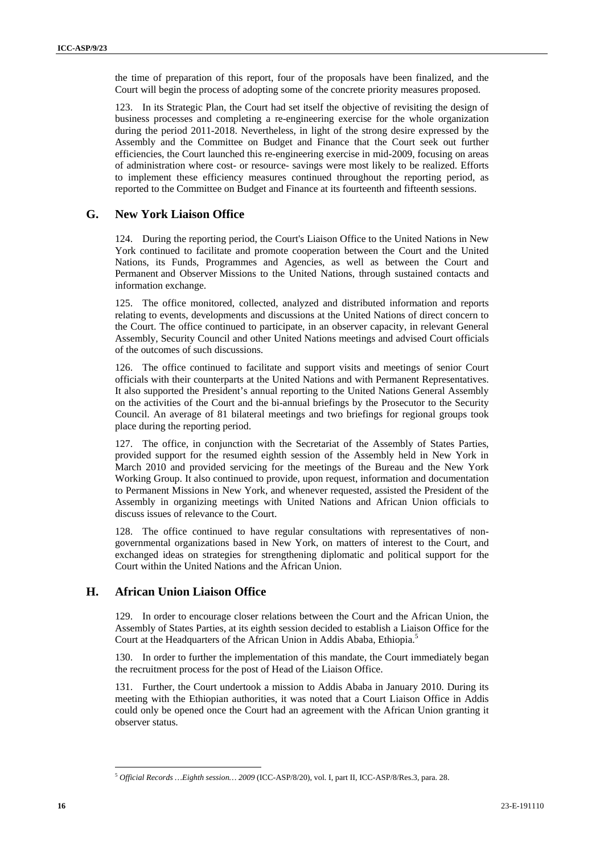the time of preparation of this report, four of the proposals have been finalized, and the Court will begin the process of adopting some of the concrete priority measures proposed.

123. In its Strategic Plan, the Court had set itself the objective of revisiting the design of business processes and completing a re-engineering exercise for the whole organization during the period 2011-2018. Nevertheless, in light of the strong desire expressed by the Assembly and the Committee on Budget and Finance that the Court seek out further efficiencies, the Court launched this re-engineering exercise in mid-2009, focusing on areas of administration where cost- or resource- savings were most likely to be realized. Efforts to implement these efficiency measures continued throughout the reporting period, as reported to the Committee on Budget and Finance at its fourteenth and fifteenth sessions.

## **G. New York Liaison Office**

124. During the reporting period, the Court's Liaison Office to the United Nations in New York continued to facilitate and promote cooperation between the Court and the United Nations, its Funds, Programmes and Agencies, as well as between the Court and Permanent and Observer Missions to the United Nations, through sustained contacts and information exchange.

125. The office monitored, collected, analyzed and distributed information and reports relating to events, developments and discussions at the United Nations of direct concern to the Court. The office continued to participate, in an observer capacity, in relevant General Assembly, Security Council and other United Nations meetings and advised Court officials of the outcomes of such discussions.

126. The office continued to facilitate and support visits and meetings of senior Court officials with their counterparts at the United Nations and with Permanent Representatives. It also supported the President's annual reporting to the United Nations General Assembly on the activities of the Court and the bi-annual briefings by the Prosecutor to the Security Council. An average of 81 bilateral meetings and two briefings for regional groups took place during the reporting period.

127. The office, in conjunction with the Secretariat of the Assembly of States Parties, provided support for the resumed eighth session of the Assembly held in New York in March 2010 and provided servicing for the meetings of the Bureau and the New York Working Group. It also continued to provide, upon request, information and documentation to Permanent Missions in New York, and whenever requested, assisted the President of the Assembly in organizing meetings with United Nations and African Union officials to discuss issues of relevance to the Court.

128. The office continued to have regular consultations with representatives of nongovernmental organizations based in New York, on matters of interest to the Court, and exchanged ideas on strategies for strengthening diplomatic and political support for the Court within the United Nations and the African Union.

# **H. African Union Liaison Office**

<u> 1989 - Johann Barn, mars eta bainar eta industrial eta bainar eta baina eta baina eta baina eta baina eta ba</u>

129. In order to encourage closer relations between the Court and the African Union, the Assembly of States Parties, at its eighth session decided to establish a Liaison Office for the Court at the Headquarters of the African Union in Addis Ababa, Ethiopia.<sup>5</sup>

130. In order to further the implementation of this mandate, the Court immediately began the recruitment process for the post of Head of the Liaison Office.

131. Further, the Court undertook a mission to Addis Ababa in January 2010. During its meeting with the Ethiopian authorities, it was noted that a Court Liaison Office in Addis could only be opened once the Court had an agreement with the African Union granting it observer status.

<sup>5</sup> *Official Records …Eighth session… 2009* (ICC-ASP/8/20), vol. I, part II, ICC-ASP/8/Res.3, para. 28.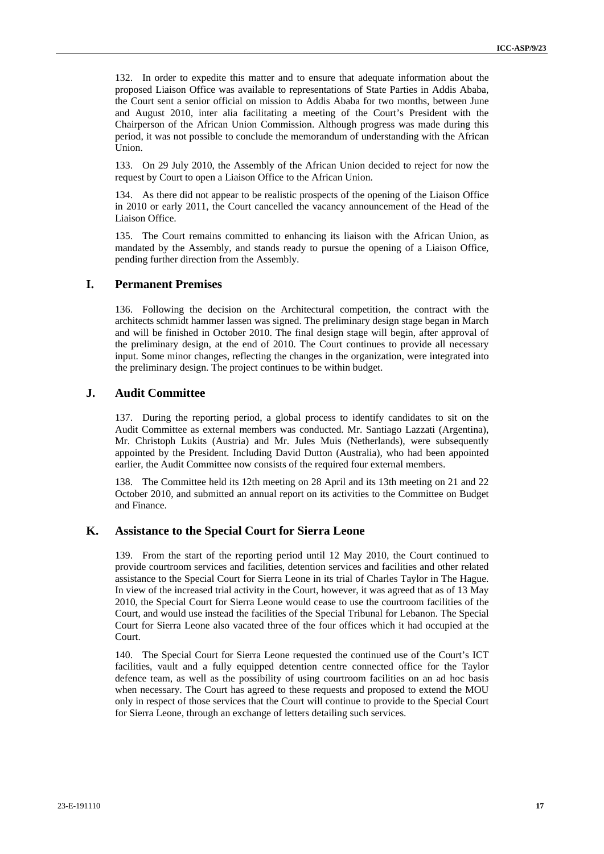132. In order to expedite this matter and to ensure that adequate information about the proposed Liaison Office was available to representations of State Parties in Addis Ababa, the Court sent a senior official on mission to Addis Ababa for two months, between June and August 2010, inter alia facilitating a meeting of the Court's President with the Chairperson of the African Union Commission. Although progress was made during this period, it was not possible to conclude the memorandum of understanding with the African Union.

133. On 29 July 2010, the Assembly of the African Union decided to reject for now the request by Court to open a Liaison Office to the African Union.

134. As there did not appear to be realistic prospects of the opening of the Liaison Office in 2010 or early 2011, the Court cancelled the vacancy announcement of the Head of the Liaison Office.

135. The Court remains committed to enhancing its liaison with the African Union, as mandated by the Assembly, and stands ready to pursue the opening of a Liaison Office, pending further direction from the Assembly.

# **I. Permanent Premises**

136. Following the decision on the Architectural competition, the contract with the architects schmidt hammer lassen was signed. The preliminary design stage began in March and will be finished in October 2010. The final design stage will begin, after approval of the preliminary design, at the end of 2010. The Court continues to provide all necessary input. Some minor changes, reflecting the changes in the organization, were integrated into the preliminary design. The project continues to be within budget.

## **J. Audit Committee**

137. During the reporting period, a global process to identify candidates to sit on the Audit Committee as external members was conducted. Mr. Santiago Lazzati (Argentina), Mr. Christoph Lukits (Austria) and Mr. Jules Muis (Netherlands), were subsequently appointed by the President. Including David Dutton (Australia), who had been appointed earlier, the Audit Committee now consists of the required four external members.

138. The Committee held its 12th meeting on 28 April and its 13th meeting on 21 and 22 October 2010, and submitted an annual report on its activities to the Committee on Budget and Finance.

# **K. Assistance to the Special Court for Sierra Leone**

139. From the start of the reporting period until 12 May 2010, the Court continued to provide courtroom services and facilities, detention services and facilities and other related assistance to the Special Court for Sierra Leone in its trial of Charles Taylor in The Hague. In view of the increased trial activity in the Court, however, it was agreed that as of 13 May 2010, the Special Court for Sierra Leone would cease to use the courtroom facilities of the Court, and would use instead the facilities of the Special Tribunal for Lebanon. The Special Court for Sierra Leone also vacated three of the four offices which it had occupied at the Court.

140. The Special Court for Sierra Leone requested the continued use of the Court's ICT facilities, vault and a fully equipped detention centre connected office for the Taylor defence team, as well as the possibility of using courtroom facilities on an ad hoc basis when necessary. The Court has agreed to these requests and proposed to extend the MOU only in respect of those services that the Court will continue to provide to the Special Court for Sierra Leone, through an exchange of letters detailing such services.